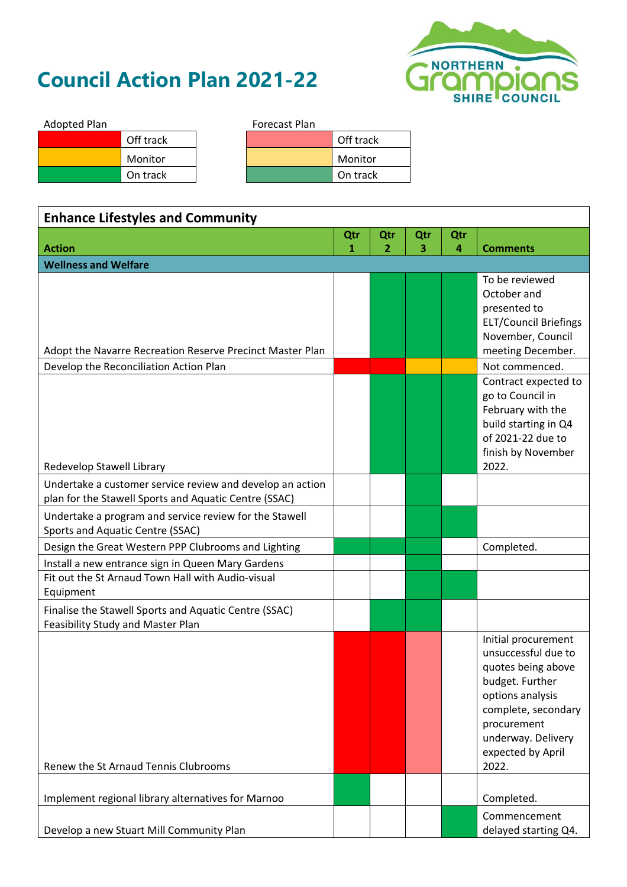## **Council Action Plan 2021-22**



| <b>Adopted Plan</b> |           | <b>Forecast Plan</b> |           |
|---------------------|-----------|----------------------|-----------|
|                     | Off track |                      | Off track |
|                     | Monitor   |                      | Monitor   |
|                     | On track  |                      | On track  |

| <b>Enhance Lifestyles and Community</b>                                                    |     |                |     |     |                                           |
|--------------------------------------------------------------------------------------------|-----|----------------|-----|-----|-------------------------------------------|
|                                                                                            | Qtr | Qtr            | Qtr | Qtr |                                           |
| <b>Action</b>                                                                              | 1   | $\overline{2}$ | 3   | 4   | <b>Comments</b>                           |
| <b>Wellness and Welfare</b>                                                                |     |                |     |     |                                           |
|                                                                                            |     |                |     |     | To be reviewed                            |
|                                                                                            |     |                |     |     | October and<br>presented to               |
|                                                                                            |     |                |     |     | <b>ELT/Council Briefings</b>              |
|                                                                                            |     |                |     |     | November, Council                         |
| Adopt the Navarre Recreation Reserve Precinct Master Plan                                  |     |                |     |     | meeting December.                         |
| Develop the Reconciliation Action Plan                                                     |     |                |     |     | Not commenced.                            |
|                                                                                            |     |                |     |     | Contract expected to                      |
|                                                                                            |     |                |     |     | go to Council in                          |
|                                                                                            |     |                |     |     | February with the<br>build starting in Q4 |
|                                                                                            |     |                |     |     | of 2021-22 due to                         |
|                                                                                            |     |                |     |     | finish by November                        |
| Redevelop Stawell Library                                                                  |     |                |     |     | 2022.                                     |
| Undertake a customer service review and develop an action                                  |     |                |     |     |                                           |
| plan for the Stawell Sports and Aquatic Centre (SSAC)                                      |     |                |     |     |                                           |
| Undertake a program and service review for the Stawell                                     |     |                |     |     |                                           |
| Sports and Aquatic Centre (SSAC)                                                           |     |                |     |     |                                           |
| Design the Great Western PPP Clubrooms and Lighting                                        |     |                |     |     | Completed.                                |
| Install a new entrance sign in Queen Mary Gardens                                          |     |                |     |     |                                           |
| Fit out the St Arnaud Town Hall with Audio-visual                                          |     |                |     |     |                                           |
| Equipment                                                                                  |     |                |     |     |                                           |
| Finalise the Stawell Sports and Aquatic Centre (SSAC)<br>Feasibility Study and Master Plan |     |                |     |     |                                           |
|                                                                                            |     |                |     |     | Initial procurement                       |
|                                                                                            |     |                |     |     | unsuccessful due to                       |
|                                                                                            |     |                |     |     | quotes being above                        |
|                                                                                            |     |                |     |     | budget. Further                           |
|                                                                                            |     |                |     |     | options analysis                          |
|                                                                                            |     |                |     |     | complete, secondary                       |
|                                                                                            |     |                |     |     | procurement                               |
|                                                                                            |     |                |     |     | underway. Delivery<br>expected by April   |
| Renew the St Arnaud Tennis Clubrooms                                                       |     |                |     |     | 2022.                                     |
|                                                                                            |     |                |     |     |                                           |
| Implement regional library alternatives for Marnoo                                         |     |                |     |     | Completed.                                |
|                                                                                            |     |                |     |     | Commencement                              |
| Develop a new Stuart Mill Community Plan                                                   |     |                |     |     | delayed starting Q4.                      |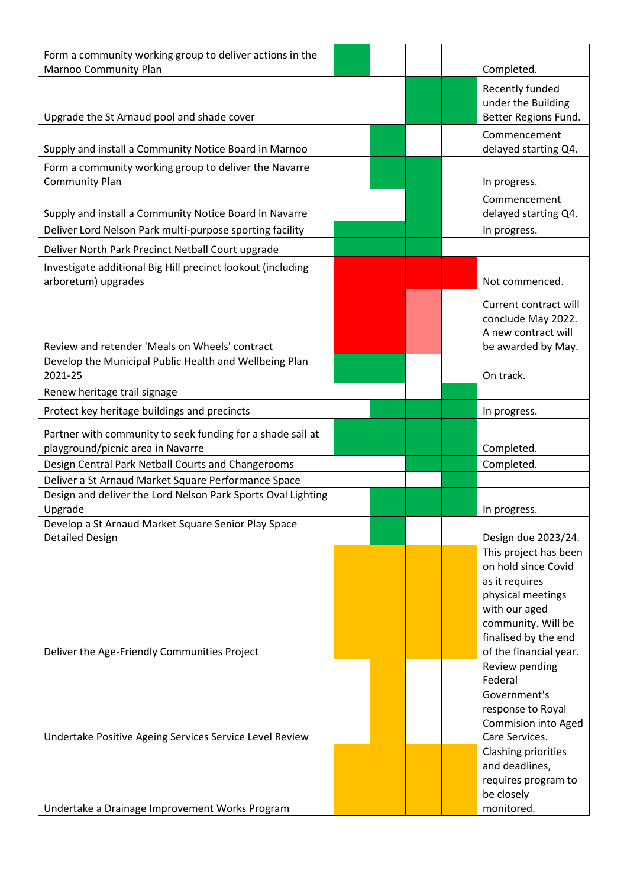| Form a community working group to deliver actions in the<br><b>Marnoo Community Plan</b>                           |  |  | Completed.                                      |
|--------------------------------------------------------------------------------------------------------------------|--|--|-------------------------------------------------|
|                                                                                                                    |  |  | Recently funded                                 |
|                                                                                                                    |  |  | under the Building                              |
| Upgrade the St Arnaud pool and shade cover                                                                         |  |  | Better Regions Fund.                            |
|                                                                                                                    |  |  | Commencement                                    |
| Supply and install a Community Notice Board in Marnoo                                                              |  |  | delayed starting Q4.                            |
| Form a community working group to deliver the Navarre<br><b>Community Plan</b>                                     |  |  | In progress.                                    |
|                                                                                                                    |  |  | Commencement                                    |
| Supply and install a Community Notice Board in Navarre<br>Deliver Lord Nelson Park multi-purpose sporting facility |  |  | delayed starting Q4.<br>In progress.            |
|                                                                                                                    |  |  |                                                 |
| Deliver North Park Precinct Netball Court upgrade                                                                  |  |  |                                                 |
| Investigate additional Big Hill precinct lookout (including<br>arboretum) upgrades                                 |  |  | Not commenced.                                  |
|                                                                                                                    |  |  | Current contract will                           |
|                                                                                                                    |  |  | conclude May 2022.                              |
| Review and retender 'Meals on Wheels' contract                                                                     |  |  | A new contract will                             |
| Develop the Municipal Public Health and Wellbeing Plan                                                             |  |  | be awarded by May.                              |
| 2021-25                                                                                                            |  |  | On track.                                       |
| Renew heritage trail signage                                                                                       |  |  |                                                 |
| Protect key heritage buildings and precincts                                                                       |  |  | In progress.                                    |
| Partner with community to seek funding for a shade sail at<br>playground/picnic area in Navarre                    |  |  | Completed.                                      |
| Design Central Park Netball Courts and Changerooms                                                                 |  |  | Completed.                                      |
| Deliver a St Arnaud Market Square Performance Space                                                                |  |  |                                                 |
| Design and deliver the Lord Nelson Park Sports Oval Lighting<br>Upgrade                                            |  |  | In progress.                                    |
| Develop a St Arnaud Market Square Senior Play Space                                                                |  |  |                                                 |
| <b>Detailed Design</b>                                                                                             |  |  | Design due 2023/24.                             |
|                                                                                                                    |  |  | This project has been<br>on hold since Covid    |
|                                                                                                                    |  |  | as it requires                                  |
|                                                                                                                    |  |  | physical meetings                               |
|                                                                                                                    |  |  | with our aged                                   |
|                                                                                                                    |  |  | community. Will be                              |
| Deliver the Age-Friendly Communities Project                                                                       |  |  | finalised by the end<br>of the financial year.  |
|                                                                                                                    |  |  | Review pending                                  |
|                                                                                                                    |  |  | Federal                                         |
|                                                                                                                    |  |  | Government's                                    |
|                                                                                                                    |  |  | response to Royal<br><b>Commision into Aged</b> |
| Undertake Positive Ageing Services Service Level Review                                                            |  |  | Care Services.                                  |
|                                                                                                                    |  |  | Clashing priorities                             |
|                                                                                                                    |  |  | and deadlines,                                  |
|                                                                                                                    |  |  | requires program to                             |
| Undertake a Drainage Improvement Works Program                                                                     |  |  | be closely<br>monitored.                        |
|                                                                                                                    |  |  |                                                 |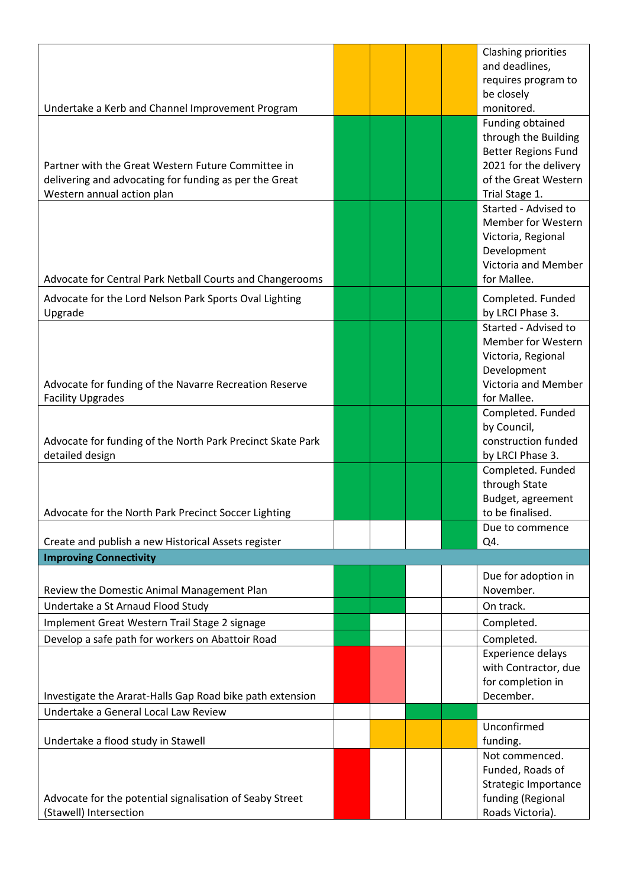|                                                            | Clashing priorities<br>and deadlines,               |
|------------------------------------------------------------|-----------------------------------------------------|
|                                                            | requires program to                                 |
|                                                            | be closely                                          |
| Undertake a Kerb and Channel Improvement Program           | monitored.                                          |
|                                                            | Funding obtained                                    |
|                                                            | through the Building                                |
| Partner with the Great Western Future Committee in         | <b>Better Regions Fund</b><br>2021 for the delivery |
| delivering and advocating for funding as per the Great     | of the Great Western                                |
| Western annual action plan                                 | Trial Stage 1.                                      |
|                                                            | Started - Advised to                                |
|                                                            | Member for Western                                  |
|                                                            | Victoria, Regional                                  |
|                                                            | Development<br>Victoria and Member                  |
| Advocate for Central Park Netball Courts and Changerooms   | for Mallee.                                         |
| Advocate for the Lord Nelson Park Sports Oval Lighting     | Completed. Funded                                   |
| Upgrade                                                    | by LRCI Phase 3.                                    |
|                                                            | Started - Advised to                                |
|                                                            | <b>Member for Western</b>                           |
|                                                            | Victoria, Regional<br>Development                   |
| Advocate for funding of the Navarre Recreation Reserve     | Victoria and Member                                 |
| <b>Facility Upgrades</b>                                   | for Mallee.                                         |
|                                                            | Completed. Funded                                   |
|                                                            | by Council,                                         |
| Advocate for funding of the North Park Precinct Skate Park | construction funded                                 |
| detailed design                                            | by LRCI Phase 3.<br>Completed. Funded               |
|                                                            | through State                                       |
|                                                            | Budget, agreement                                   |
| Advocate for the North Park Precinct Soccer Lighting       | to be finalised.                                    |
| Create and publish a new Historical Assets register        | Due to commence<br>Q4.                              |
| <b>Improving Connectivity</b>                              |                                                     |
|                                                            | Due for adoption in                                 |
| Review the Domestic Animal Management Plan                 | November.                                           |
| Undertake a St Arnaud Flood Study                          | On track.                                           |
| Implement Great Western Trail Stage 2 signage              | Completed.                                          |
| Develop a safe path for workers on Abattoir Road           | Completed.                                          |
|                                                            | <b>Experience delays</b>                            |
|                                                            | with Contractor, due<br>for completion in           |
| Investigate the Ararat-Halls Gap Road bike path extension  | December.                                           |
| Undertake a General Local Law Review                       |                                                     |
|                                                            | Unconfirmed                                         |
| Undertake a flood study in Stawell                         | funding.                                            |
|                                                            | Not commenced.                                      |
|                                                            | Funded, Roads of                                    |
| Advocate for the potential signalisation of Seaby Street   | <b>Strategic Importance</b><br>funding (Regional    |
| (Stawell) Intersection                                     | Roads Victoria).                                    |
|                                                            |                                                     |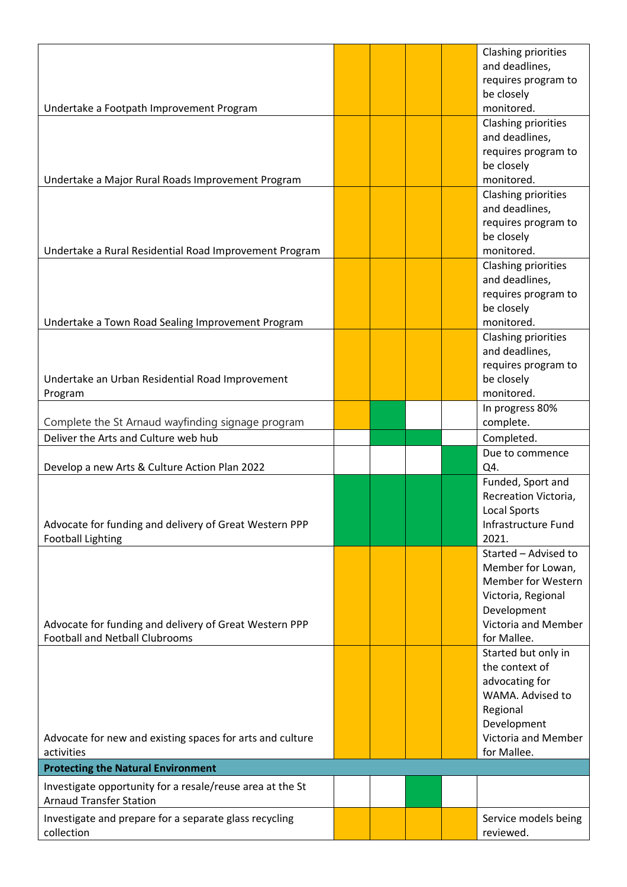| Undertake a Footpath Improvement Program                                                        |  |  | Clashing priorities<br>and deadlines,<br>requires program to<br>be closely<br>monitored.                                                          |
|-------------------------------------------------------------------------------------------------|--|--|---------------------------------------------------------------------------------------------------------------------------------------------------|
| Undertake a Major Rural Roads Improvement Program                                               |  |  | Clashing priorities<br>and deadlines,<br>requires program to<br>be closely<br>monitored.                                                          |
| Undertake a Rural Residential Road Improvement Program                                          |  |  | Clashing priorities<br>and deadlines,<br>requires program to<br>be closely<br>monitored.                                                          |
| Undertake a Town Road Sealing Improvement Program                                               |  |  | Clashing priorities<br>and deadlines,<br>requires program to<br>be closely<br>monitored.                                                          |
| Undertake an Urban Residential Road Improvement<br>Program                                      |  |  | Clashing priorities<br>and deadlines,<br>requires program to<br>be closely<br>monitored.                                                          |
| Complete the St Arnaud wayfinding signage program                                               |  |  | In progress 80%<br>complete.                                                                                                                      |
| Deliver the Arts and Culture web hub                                                            |  |  | Completed.                                                                                                                                        |
| Develop a new Arts & Culture Action Plan 2022                                                   |  |  | Due to commence<br>Q4.                                                                                                                            |
| Advocate for funding and delivery of Great Western PPP<br><b>Football Lighting</b>              |  |  | Funded, Sport and<br>Recreation Victoria,<br><b>Local Sports</b><br>Infrastructure Fund<br>2021.                                                  |
| Advocate for funding and delivery of Great Western PPP<br><b>Football and Netball Clubrooms</b> |  |  | Started - Advised to<br>Member for Lowan,<br><b>Member for Western</b><br>Victoria, Regional<br>Development<br>Victoria and Member<br>for Mallee. |
| Advocate for new and existing spaces for arts and culture                                       |  |  | Started but only in<br>the context of<br>advocating for<br>WAMA. Advised to<br>Regional<br>Development<br>Victoria and Member                     |
| activities                                                                                      |  |  | for Mallee.                                                                                                                                       |
| <b>Protecting the Natural Environment</b>                                                       |  |  |                                                                                                                                                   |
| Investigate opportunity for a resale/reuse area at the St<br><b>Arnaud Transfer Station</b>     |  |  |                                                                                                                                                   |
| Investigate and prepare for a separate glass recycling<br>collection                            |  |  | Service models being<br>reviewed.                                                                                                                 |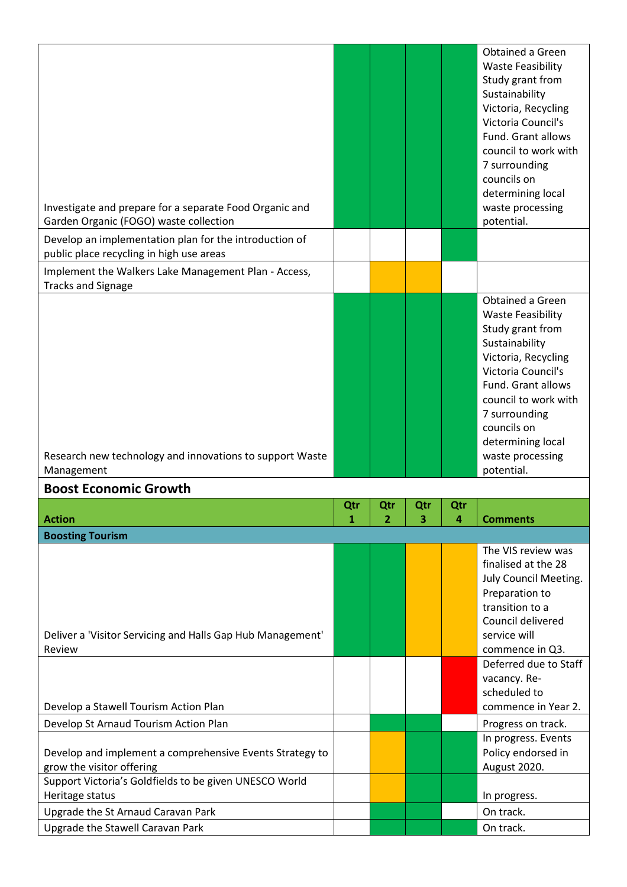|                                                                                                    |          |          |          |          | Obtained a Green<br><b>Waste Feasibility</b><br>Study grant from<br>Sustainability<br>Victoria, Recycling<br>Victoria Council's<br>Fund. Grant allows                                                                              |
|----------------------------------------------------------------------------------------------------|----------|----------|----------|----------|------------------------------------------------------------------------------------------------------------------------------------------------------------------------------------------------------------------------------------|
| Investigate and prepare for a separate Food Organic and                                            |          |          |          |          | council to work with<br>7 surrounding<br>councils on<br>determining local<br>waste processing                                                                                                                                      |
| Garden Organic (FOGO) waste collection                                                             |          |          |          |          | potential.                                                                                                                                                                                                                         |
| Develop an implementation plan for the introduction of<br>public place recycling in high use areas |          |          |          |          |                                                                                                                                                                                                                                    |
| Implement the Walkers Lake Management Plan - Access,<br><b>Tracks and Signage</b>                  |          |          |          |          |                                                                                                                                                                                                                                    |
|                                                                                                    |          |          |          |          | Obtained a Green<br><b>Waste Feasibility</b><br>Study grant from<br>Sustainability<br>Victoria, Recycling<br>Victoria Council's<br>Fund. Grant allows<br>council to work with<br>7 surrounding<br>councils on<br>determining local |
|                                                                                                    |          |          |          |          |                                                                                                                                                                                                                                    |
| Research new technology and innovations to support Waste<br>Management                             |          |          |          |          | waste processing<br>potential.                                                                                                                                                                                                     |
| <b>Boost Economic Growth</b>                                                                       |          |          |          |          |                                                                                                                                                                                                                                    |
| <b>Action</b>                                                                                      | Qtr<br>1 | Qtr<br>2 | Qtr<br>3 | Qtr<br>4 | <b>Comments</b>                                                                                                                                                                                                                    |
| <b>Boosting Tourism</b>                                                                            |          |          |          |          |                                                                                                                                                                                                                                    |
| Deliver a 'Visitor Servicing and Halls Gap Hub Management'<br>Review                               |          |          |          |          | The VIS review was<br>finalised at the 28<br>July Council Meeting.<br>Preparation to<br>transition to a<br>Council delivered<br>service will<br>commence in Q3.                                                                    |
| Develop a Stawell Tourism Action Plan                                                              |          |          |          |          | Deferred due to Staff<br>vacancy. Re-<br>scheduled to<br>commence in Year 2.                                                                                                                                                       |
| Develop St Arnaud Tourism Action Plan                                                              |          |          |          |          | Progress on track.                                                                                                                                                                                                                 |
| Develop and implement a comprehensive Events Strategy to<br>grow the visitor offering              |          |          |          |          | In progress. Events<br>Policy endorsed in<br>August 2020.                                                                                                                                                                          |
| Support Victoria's Goldfields to be given UNESCO World                                             |          |          |          |          |                                                                                                                                                                                                                                    |
| Heritage status<br>Upgrade the St Arnaud Caravan Park                                              |          |          |          |          | In progress.<br>On track.                                                                                                                                                                                                          |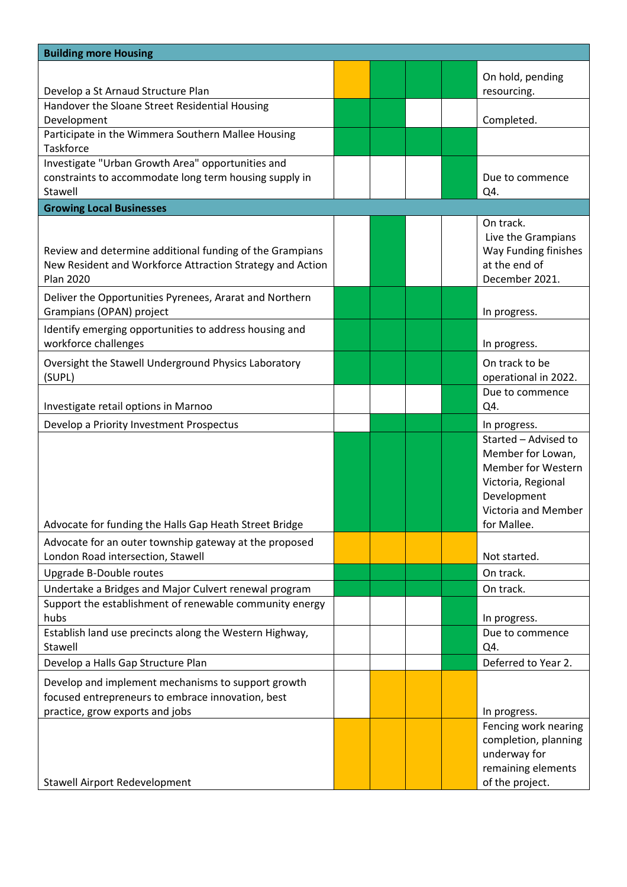| <b>Building more Housing</b>                                                                                                               |  |  |                                                                                                                                                   |
|--------------------------------------------------------------------------------------------------------------------------------------------|--|--|---------------------------------------------------------------------------------------------------------------------------------------------------|
| Develop a St Arnaud Structure Plan                                                                                                         |  |  | On hold, pending<br>resourcing.                                                                                                                   |
| Handover the Sloane Street Residential Housing<br>Development                                                                              |  |  | Completed.                                                                                                                                        |
| Participate in the Wimmera Southern Mallee Housing<br><b>Taskforce</b>                                                                     |  |  |                                                                                                                                                   |
| Investigate "Urban Growth Area" opportunities and<br>constraints to accommodate long term housing supply in<br>Stawell                     |  |  | Due to commence<br>Q4.                                                                                                                            |
| <b>Growing Local Businesses</b>                                                                                                            |  |  |                                                                                                                                                   |
| Review and determine additional funding of the Grampians<br>New Resident and Workforce Attraction Strategy and Action<br><b>Plan 2020</b>  |  |  | On track.<br>Live the Grampians<br>Way Funding finishes<br>at the end of<br>December 2021.                                                        |
| Deliver the Opportunities Pyrenees, Ararat and Northern<br>Grampians (OPAN) project                                                        |  |  | In progress.                                                                                                                                      |
| Identify emerging opportunities to address housing and<br>workforce challenges                                                             |  |  | In progress.                                                                                                                                      |
| Oversight the Stawell Underground Physics Laboratory<br>(SUPL)                                                                             |  |  | On track to be<br>operational in 2022.                                                                                                            |
| Investigate retail options in Marnoo                                                                                                       |  |  | Due to commence<br>Q4.                                                                                                                            |
| Develop a Priority Investment Prospectus                                                                                                   |  |  | In progress.                                                                                                                                      |
| Advocate for funding the Halls Gap Heath Street Bridge                                                                                     |  |  | Started - Advised to<br>Member for Lowan,<br><b>Member for Western</b><br>Victoria, Regional<br>Development<br>Victoria and Member<br>for Mallee. |
| Advocate for an outer township gateway at the proposed<br>London Road intersection, Stawell                                                |  |  | Not started.                                                                                                                                      |
| Upgrade B-Double routes                                                                                                                    |  |  | On track.                                                                                                                                         |
| Undertake a Bridges and Major Culvert renewal program                                                                                      |  |  | On track.                                                                                                                                         |
| Support the establishment of renewable community energy<br>hubs                                                                            |  |  | In progress.                                                                                                                                      |
| Establish land use precincts along the Western Highway,<br>Stawell                                                                         |  |  | Due to commence<br>Q4.                                                                                                                            |
| Develop a Halls Gap Structure Plan                                                                                                         |  |  | Deferred to Year 2.                                                                                                                               |
| Develop and implement mechanisms to support growth<br>focused entrepreneurs to embrace innovation, best<br>practice, grow exports and jobs |  |  | In progress.                                                                                                                                      |
| <b>Stawell Airport Redevelopment</b>                                                                                                       |  |  | Fencing work nearing<br>completion, planning<br>underway for<br>remaining elements<br>of the project.                                             |